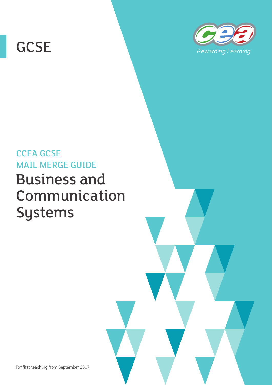# **GCSE**



# CCEA GCSE MAIL MERGE GUIDE Business and Communication Systems

For first teaching from September 2017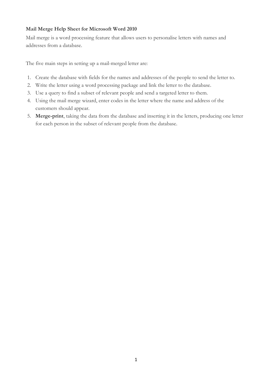## **Mail Merge Help Sheet for Microsoft Word 2010**

Mail merge is a word processing feature that allows users to personalise letters with names and addresses from a database.

The five main steps in setting up a mail-merged letter are:

- 1. Create the database with fields for the names and addresses of the people to send the letter to.
- 2. Write the letter using a word processing package and link the letter to the database.
- 3. Use a query to find a subset of relevant people and send a targeted letter to them.
- 4. Using the mail merge wizard, enter codes in the letter where the name and address of the customers should appear.
- 5. **Merge-print**, taking the data from the database and inserting it in the letters, producing one letter for each person in the subset of relevant people from the database.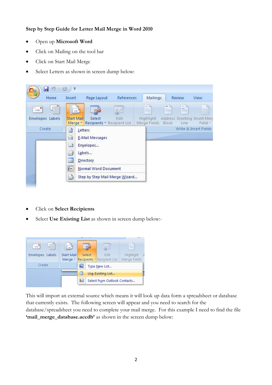### **Step by Step Guide for Letter Mail Merge in Word 2010**

- Open up **Microsoft Word**
- Click on Mailing on the tool bar
- Click on Start Mail Merge
- Select Letters as shown in screen dump below:



- Click on **Select Recipients**
- Select **Use Existing List** as shown in screen dump below:-



This will import an external source which means it will look up data form a spreadsheet or database that currently exists. The following screen will appear and you need to search for the database/spreadsheet you need to complete your mail merge. For this example I need to find the file **'mail\_merge\_database.accdb'** as shown in the screen dump below: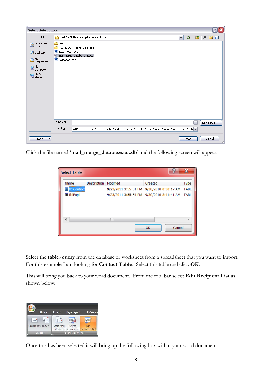

Click the file named **'mail\_merge\_database.accdb'** and the following screen will appear:-

| 40<br><b>Select Table</b> |                     |             |          |                                                |             |  |  |  |  |
|---------------------------|---------------------|-------------|----------|------------------------------------------------|-------------|--|--|--|--|
|                           | Name                | Description | Modified | Created                                        | <b>Type</b> |  |  |  |  |
|                           | <b>■ tblContact</b> |             |          | 9/23/2011 3:55:31 PM 9/30/2010 8:38:17 AM TABL |             |  |  |  |  |
|                           | <b>ED</b> tblPupil  |             |          | 9/23/2011 3:55:54 PM 9/30/2010 8:41:41 AM TABL |             |  |  |  |  |
|                           |                     |             |          |                                                |             |  |  |  |  |
|                           | ∢                   |             | Ш        |                                                |             |  |  |  |  |
|                           |                     |             |          | Cancel<br>OK                                   |             |  |  |  |  |

Select the **table**/**query** from the database or worksheet from a spreadsheet that you want to import. For this example I am looking for **Contact Table**. Select this table and click **OK.**

This will bring you back to your word document. From the tool bar select **Edit Recipient List** as shown below:

| Home             | Insert                  | Page Layout | Reference                                   |  |
|------------------|-------------------------|-------------|---------------------------------------------|--|
| $=$<br>≕         |                         |             |                                             |  |
| Envelopes Labels | <b>Start Mail</b>       | Select      | Edit<br>Merge * Recipients * Recipient List |  |
| Create           | <b>Start Mail Merge</b> |             |                                             |  |

Once this has been selected it will bring up the following box within your word document.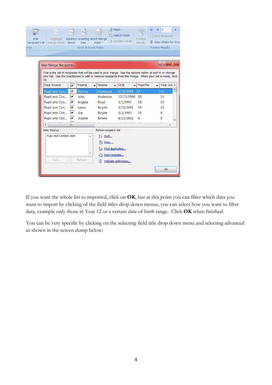| Edit<br><b>Recipient List</b><br>rge                                                                                                                                                                                                                                 | Highlight<br>Merge Fields                 | ≅<br><b>Block</b> | Address Greeting Insert Merge<br>Line<br>Write & Insert Fields | Rules *<br>晶<br>Field *              | 문급 Match Fields<br>d Update Labels    | $\mathbb N$<br><b><dabc< b="">b&gt;<br/>Preview<br/><b>Results</b></dabc<></b> | 1<br>Find Recipient<br>Auto Check for Erro<br><b>Preview Results</b> |   |  |  |  |
|----------------------------------------------------------------------------------------------------------------------------------------------------------------------------------------------------------------------------------------------------------------------|-------------------------------------------|-------------------|----------------------------------------------------------------|--------------------------------------|---------------------------------------|--------------------------------------------------------------------------------|----------------------------------------------------------------------|---|--|--|--|
|                                                                                                                                                                                                                                                                      |                                           |                   |                                                                |                                      |                                       |                                                                                |                                                                      |   |  |  |  |
|                                                                                                                                                                                                                                                                      | <b>Mail Merge Recipients</b>              |                   |                                                                |                                      |                                       |                                                                                | P<br>$\mathbf x$                                                     |   |  |  |  |
| This is the list of recipients that will be used in your merge. Use the options below to add to or change<br>your list. Use the checkboxes to add or remove recipients from the merge. When your list is ready, click<br>OK.<br>Data Source<br>Fname<br>Sname<br>DOB |                                           |                   |                                                                |                                      |                                       |                                                                                |                                                                      |   |  |  |  |
|                                                                                                                                                                                                                                                                      | Pupil and Con                             | v<br>է            | Norma                                                          | $\overline{\phantom{0}}$<br>Anderson | $\overline{\phantom{0}}$<br>6/19/1989 | Pupil No<br>9                                                                  | Year Gro A<br>12                                                     | Ξ |  |  |  |
|                                                                                                                                                                                                                                                                      | Pupil and Con                             | ▽                 | John                                                           | Anderson                             | 12/12/1990                            | 50                                                                             | 11                                                                   |   |  |  |  |
|                                                                                                                                                                                                                                                                      | Pupil and Con                             | ∣V                | Angela                                                         | <b>Boyd</b>                          | 3/1/1991                              | 18                                                                             | 10                                                                   |   |  |  |  |
|                                                                                                                                                                                                                                                                      | Pupil and Con                             | ∣V                | Laura                                                          | Boyde                                | 5/25/1991                             | 19                                                                             | 10                                                                   |   |  |  |  |
|                                                                                                                                                                                                                                                                      | Pupil and Con                             | ∣V                | Joe                                                            | Boyde                                | 5/3/1993                              | 23                                                                             | 8                                                                    |   |  |  |  |
|                                                                                                                                                                                                                                                                      | Pupil and Con                             | ∣V                | Joanne                                                         | <b>Brown</b>                         | 8/23/1992                             | 4                                                                              | 9                                                                    |   |  |  |  |
|                                                                                                                                                                                                                                                                      |                                           | ш                 |                                                                |                                      |                                       |                                                                                |                                                                      |   |  |  |  |
|                                                                                                                                                                                                                                                                      | Data Source<br>Pupil and Contact.mdb<br>A |                   |                                                                | Refine recipient list                |                                       |                                                                                |                                                                      |   |  |  |  |
|                                                                                                                                                                                                                                                                      |                                           |                   |                                                                | ∯↓ Sort                              |                                       |                                                                                |                                                                      |   |  |  |  |
|                                                                                                                                                                                                                                                                      |                                           |                   |                                                                | <b>M</b> Filter                      |                                       |                                                                                |                                                                      |   |  |  |  |
|                                                                                                                                                                                                                                                                      |                                           |                   |                                                                | Find duplicates<br>Find recipient    |                                       |                                                                                |                                                                      |   |  |  |  |
|                                                                                                                                                                                                                                                                      |                                           |                   |                                                                |                                      |                                       |                                                                                |                                                                      |   |  |  |  |
|                                                                                                                                                                                                                                                                      | Edit<br>Refresh                           |                   |                                                                | Validate addresses                   |                                       |                                                                                |                                                                      |   |  |  |  |
|                                                                                                                                                                                                                                                                      |                                           |                   |                                                                |                                      |                                       |                                                                                | OK                                                                   |   |  |  |  |

If you want the whole list to imported, click on **OK**, but at this point you can filter which data you want to import by clicking of the field titles drop down menus, you can select how you want to filter data, example only those in Year 12 or a certain date of birth range. Click **OK** when finished.

You can be very specific by clicking on the selecting field title drop down menu and selecting advanced as shown in the screen dump below: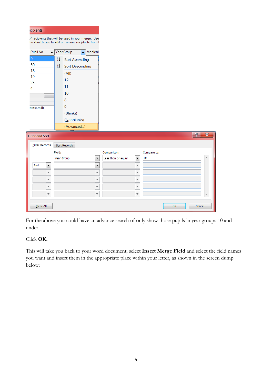| cipients                             |                                                                                                        |                                  |                    |                          |             |    |        |             |
|--------------------------------------|--------------------------------------------------------------------------------------------------------|----------------------------------|--------------------|--------------------------|-------------|----|--------|-------------|
|                                      | of recipients that will be used in your merge. Use<br>he checkboxes to add or remove recipients from t |                                  |                    |                          |             |    |        |             |
| Pupil No<br>$\overline{\phantom{0}}$ | Year Group                                                                                             | $\overline{\phantom{a}}$ Medical |                    |                          |             |    |        |             |
| $9\,$                                | $\frac{A}{Z}\downarrow$<br>Sort Ascending                                                              |                                  |                    |                          |             |    |        |             |
| 50                                   | $\frac{Z}{A}$<br>Sort Descending                                                                       |                                  |                    |                          |             |    |        |             |
| 18                                   | (AII)                                                                                                  |                                  |                    |                          |             |    |        |             |
| 19                                   | 12                                                                                                     |                                  |                    |                          |             |    |        |             |
| 23                                   | 11                                                                                                     |                                  |                    |                          |             |    |        |             |
| 4                                    | 10                                                                                                     |                                  |                    |                          |             |    |        |             |
|                                      | 8                                                                                                      |                                  |                    |                          |             |    |        |             |
| ntact.mdb                            | 9                                                                                                      |                                  |                    |                          |             |    |        |             |
|                                      | (Blanks)                                                                                               |                                  |                    |                          |             |    |        |             |
|                                      | (Nonblanks)                                                                                            |                                  |                    |                          |             |    |        |             |
|                                      | (Advanced)                                                                                             |                                  |                    |                          |             |    |        |             |
|                                      |                                                                                                        |                                  |                    |                          |             |    |        |             |
| <b>Filter and Sort</b>               |                                                                                                        |                                  |                    |                          |             |    | P      | $\mathbf x$ |
| <b>Filter Records</b>                | Sort Records                                                                                           |                                  |                    |                          |             |    |        |             |
|                                      | Field:                                                                                                 |                                  | Comparison:        |                          | Compare to: |    |        |             |
|                                      | Year Group<br>$\blacktriangledown$                                                                     |                                  | Less than or equal | $\overline{\phantom{a}}$ | 10          |    |        | ∸           |
| And<br>$\overline{\phantom{a}}$      |                                                                                                        | $\overline{\phantom{a}}$         |                    | $\overline{\phantom{a}}$ |             |    |        |             |
| $\overline{\phantom{a}}$             |                                                                                                        | $\overline{\phantom{a}}$         |                    | $\overline{\phantom{a}}$ |             |    |        |             |
| ÷                                    |                                                                                                        | $\overline{\phantom{a}}$         |                    | $\overline{\phantom{a}}$ |             |    |        |             |
| $\overline{\phantom{a}}$             |                                                                                                        | ÷                                |                    | $\overline{\phantom{a}}$ |             |    |        |             |
| $\overline{\phantom{a}}$             |                                                                                                        | $\overline{\phantom{a}}$         |                    | ÷                        |             |    |        |             |
|                                      |                                                                                                        |                                  |                    |                          |             |    |        |             |
| Clear All                            |                                                                                                        |                                  |                    |                          |             | OK | Cancel |             |

For the above you could have an advance search of only show those pupils in year groups 10 and under.

 $\overline{\phantom{a}}$ 

### Click **OK.**

This will take you back to your word document, select **Insert Merge Field** and select the field names you want and insert them in the appropriate place within your letter, as shown in the screen dump below: